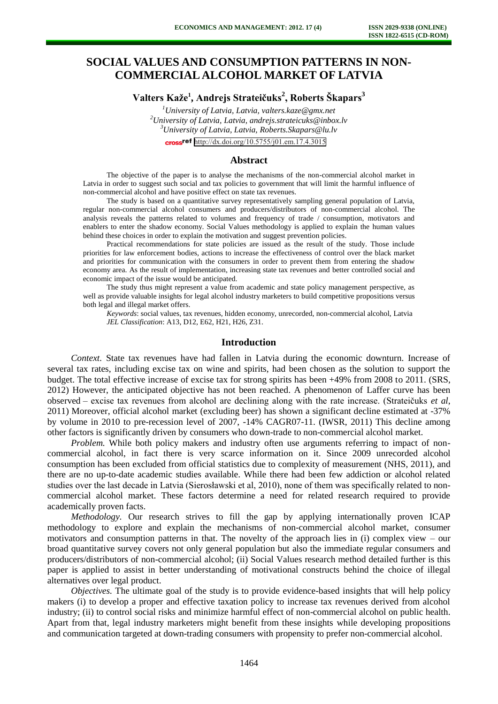# **SOCIAL VALUES AND CONSUMPTION PATTERNS IN NON-COMMERCIAL ALCOHOL MARKET OF LATVIA**

**Valters Kaže<sup>1</sup> , Andrejs Strateičuks<sup>2</sup> , Roberts Škapars<sup>3</sup>**

*University of Latvia, Latvia, [valters.kaze@gmx.net](mailto:valters.kaze@gmx.net) University of Latvia, Latvia, andrejs.strateicuks@inbox.lv University of Latvia, Latvia, Roberts.Skapars@lu.lv*  cross<sup>ref</sup> <http://dx.doi.org/10.5755/j01.em.17.4.3015>

#### **Abstract**

The objective of the paper is to analyse the mechanisms of the non-commercial alcohol market in Latvia in order to suggest such social and tax policies to government that will limit the harmful influence of non-commercial alcohol and have positive effect on state tax revenues.

The study is based on a quantitative survey representatively sampling general population of Latvia, regular non-commercial alcohol consumers and producers/distributors of non-commercial alcohol. The analysis reveals the patterns related to volumes and frequency of trade / consumption, motivators and enablers to enter the shadow economy. Social Values methodology is applied to explain the human values behind these choices in order to explain the motivation and suggest prevention policies.

Practical recommendations for state policies are issued as the result of the study. Those include priorities for law enforcement bodies, actions to increase the effectiveness of control over the black market and priorities for communication with the consumers in order to prevent them from entering the shadow economy area. As the result of implementation, increasing state tax revenues and better controlled social and economic impact of the issue would be anticipated.

The study thus might represent a value from academic and state policy management perspective, as well as provide valuable insights for legal alcohol industry marketers to build competitive propositions versus both legal and illegal market offers.

*Keywords*: social values, tax revenues, hidden economy, unrecorded, non-commercial alcohol, Latvia *JEL Classification*: A13, D12, E62, H21, H26, Z31.

### **Introduction**

*Context.* State tax revenues have had fallen in Latvia during the economic downturn. Increase of several tax rates, including excise tax on wine and spirits, had been chosen as the solution to support the budget. The total effective increase of excise tax for strong spirits has been +49% from 2008 to 2011. (SRS, 2012) However, the anticipated objective has not been reached. A phenomenon of Laffer curve has been observed – excise tax revenues from alcohol are declining along with the rate increase. (Strateičuks *et al*, 2011) Moreover, official alcohol market (excluding beer) has shown a significant decline estimated at -37% by volume in 2010 to pre-recession level of 2007, -14% CAGR07-11. (IWSR, 2011) This decline among other factors is significantly driven by consumers who down-trade to non-commercial alcohol market.

*Problem.* While both policy makers and industry often use arguments referring to impact of noncommercial alcohol, in fact there is very scarce information on it. Since 2009 unrecorded alcohol consumption has been excluded from official statistics due to complexity of measurement (NHS, 2011), and there are no up-to-date academic studies available. While there had been few addiction or alcohol related studies over the last decade in Latvia (Sierosławski et al, 2010), none of them was specifically related to noncommercial alcohol market. These factors determine a need for related research required to provide academically proven facts.

*Methodology*. Our research strives to fill the gap by applying internationally proven ICAP methodology to explore and explain the mechanisms of non-commercial alcohol market, consumer motivators and consumption patterns in that. The novelty of the approach lies in (i) complex view – our broad quantitative survey covers not only general population but also the immediate regular consumers and producers/distributors of non-commercial alcohol; (ii) Social Values research method detailed further is this paper is applied to assist in better understanding of motivational constructs behind the choice of illegal alternatives over legal product.

*Objectives.* The ultimate goal of the study is to provide evidence-based insights that will help policy makers (i) to develop a proper and effective taxation policy to increase tax revenues derived from alcohol industry; (ii) to control social risks and minimize harmful effect of non-commercial alcohol on public health. Apart from that, legal industry marketers might benefit from these insights while developing propositions and communication targeted at down-trading consumers with propensity to prefer non-commercial alcohol.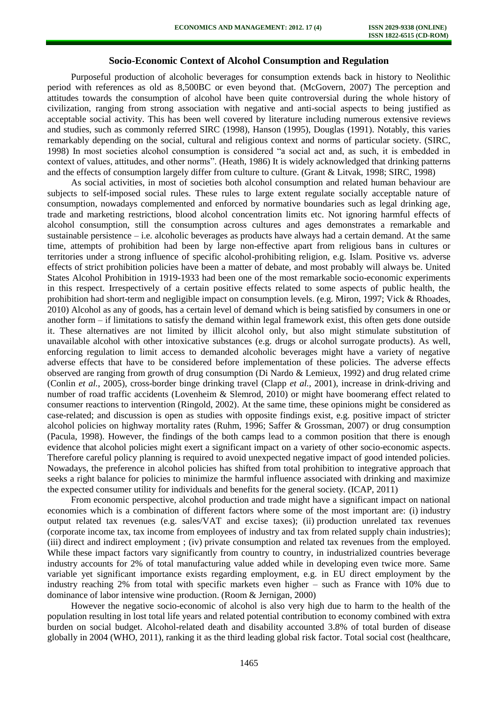### **Socio-Economic Context of Alcohol Consumption and Regulation**

Purposeful production of alcoholic beverages for consumption extends back in history to Neolithic period with references as old as 8,500BC or even beyond that. (McGovern, 2007) The perception and attitudes towards the consumption of alcohol have been quite controversial during the whole history of civilization, ranging from strong association with negative and anti-social aspects to being justified as acceptable social activity. This has been well covered by literature including numerous extensive reviews and studies, such as commonly referred SIRC (1998), Hanson (1995), Douglas (1991). Notably, this varies remarkably depending on the social, cultural and religious context and norms of particular society. (SIRC, 1998) In most societies alcohol consumption is considered "a social act and, as such, it is embedded in context of values, attitudes, and other norms". (Heath, 1986) It is widely acknowledged that drinking patterns and the effects of consumption largely differ from culture to culture. (Grant & Litvak, 1998; SIRC, 1998)

As social activities, in most of societies both alcohol consumption and related human behaviour are subjects to self-imposed social rules. These rules to large extent regulate socially acceptable nature of consumption, nowadays complemented and enforced by normative boundaries such as legal drinking age, trade and marketing restrictions, blood alcohol concentration limits etc. Not ignoring harmful effects of alcohol consumption, still the consumption across cultures and ages demonstrates a remarkable and sustainable persistence – i.e. alcoholic beverages as products have always had a certain demand. At the same time, attempts of prohibition had been by large non-effective apart from religious bans in cultures or territories under a strong influence of specific alcohol-prohibiting religion, e.g. Islam. Positive vs. adverse effects of strict prohibition policies have been a matter of debate, and most probably will always be. United States Alcohol Prohibition in 1919-1933 had been one of the most remarkable socio-economic experiments in this respect. Irrespectively of a certain positive effects related to some aspects of public health, the prohibition had short-term and negligible impact on consumption levels. (e.g. Miron, 1997; Vick & Rhoades, 2010) Alcohol as any of goods, has a certain level of demand which is being satisfied by consumers in one or another form – if limitations to satisfy the demand within legal framework exist, this often gets done outside it. These alternatives are not limited by illicit alcohol only, but also might stimulate substitution of unavailable alcohol with other intoxicative substances (e.g. drugs or alcohol surrogate products). As well, enforcing regulation to limit access to demanded alcoholic beverages might have a variety of negative adverse effects that have to be considered before implementation of these policies. The adverse effects observed are ranging from growth of drug consumption (Di Nardo & Lemieux, 1992) and drug related crime (Conlin *et al.*, 2005), cross-border binge drinking travel (Clapp *et al.*, 2001), increase in drink-driving and number of road traffic accidents (Lovenheim & Slemrod, 2010) or might have boomerang effect related to consumer reactions to intervention (Ringold, 2002). At the same time, these opinions might be considered as case-related; and discussion is open as studies with opposite findings exist, e.g. positive impact of stricter alcohol policies on highway mortality rates (Ruhm, 1996; Saffer & Grossman, 2007) or drug consumption (Pacula, 1998). However, the findings of the both camps lead to a common position that there is enough evidence that alcohol policies might exert a significant impact on a variety of other socio-economic aspects. Therefore careful policy planning is required to avoid unexpected negative impact of good intended policies. Nowadays, the preference in alcohol policies has shifted from total prohibition to integrative approach that seeks a right balance for policies to minimize the harmful influence associated with drinking and maximize the expected consumer utility for individuals and benefits for the general society. (ICAP, 2011)

From economic perspective, alcohol production and trade might have a significant impact on national economies which is a combination of different factors where some of the most important are: (i) industry output related tax revenues (e.g. sales/VAT and excise taxes); (ii) production unrelated tax revenues (corporate income tax, tax income from employees of industry and tax from related supply chain industries); (iii) direct and indirect employment ; (iv) private consumption and related tax revenues from the employed. While these impact factors vary significantly from country to country, in industrialized countries beverage industry accounts for 2% of total manufacturing value added while in developing even twice more. Same variable yet significant importance exists regarding employment, e.g. in EU direct employment by the industry reaching 2% from total with specific markets even higher – such as France with 10% due to dominance of labor intensive wine production. (Room & Jernigan, 2000)

However the negative socio-economic of alcohol is also very high due to harm to the health of the population resulting in lost total life years and related potential contribution to economy combined with extra burden on social budget. Alcohol-related death and disability accounted 3.8% of total burden of disease globally in 2004 (WHO, 2011), ranking it as the third leading global risk factor. Total social cost (healthcare,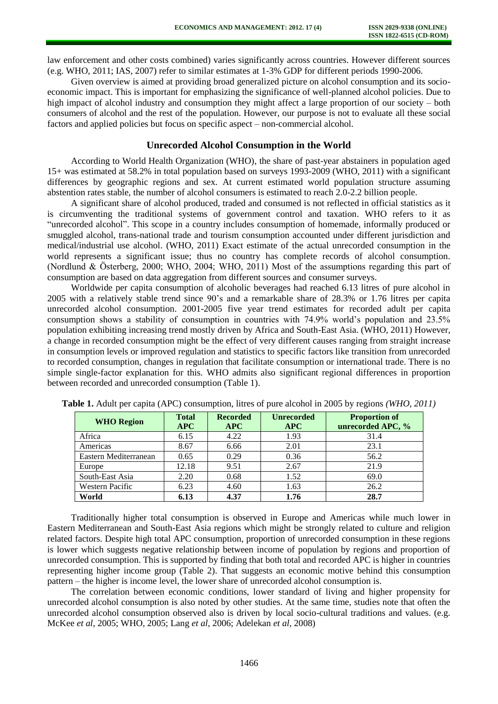law enforcement and other costs combined) varies significantly across countries. However different sources (e.g. WHO, 2011; IAS, 2007) refer to similar estimates at 1-3% GDP for different periods 1990-2006.

Given overview is aimed at providing broad generalized picture on alcohol consumption and its socioeconomic impact. This is important for emphasizing the significance of well-planned alcohol policies. Due to high impact of alcohol industry and consumption they might affect a large proportion of our society – both consumers of alcohol and the rest of the population. However, our purpose is not to evaluate all these social factors and applied policies but focus on specific aspect – non-commercial alcohol.

### **Unrecorded Alcohol Consumption in the World**

According to World Health Organization (WHO), the share of past-year abstainers in population aged 15+ was estimated at 58.2% in total population based on surveys 1993-2009 (WHO, 2011) with a significant differences by geographic regions and sex. At current estimated world population structure assuming abstention rates stable, the number of alcohol consumers is estimated to reach 2.0-2.2 billion people.

A significant share of alcohol produced, traded and consumed is not reflected in official statistics as it is circumventing the traditional systems of government control and taxation. WHO refers to it as "unrecorded alcohol". This scope in a country includes consumption of homemade, informally produced or smuggled alcohol, trans-national trade and tourism consumption accounted under different jurisdiction and medical/industrial use alcohol. (WHO, 2011) Exact estimate of the actual unrecorded consumption in the world represents a significant issue; thus no country has complete records of alcohol consumption. (Nordlund & Österberg, 2000; WHO, 2004; WHO, 2011) Most of the assumptions regarding this part of consumption are based on data aggregation from different sources and consumer surveys.

Worldwide per capita consumption of alcoholic beverages had reached 6.13 litres of pure alcohol in 2005 with a relatively stable trend since 90's and a remarkable share of 28.3% or 1.76 litres per capita unrecorded alcohol consumption. 2001-2005 five year trend estimates for recorded adult per capita consumption shows a stability of consumption in countries with 74.9% world's population and 23.5% population exhibiting increasing trend mostly driven by Africa and South-East Asia. (WHO, 2011) However, a change in recorded consumption might be the effect of very different causes ranging from straight increase in consumption levels or improved regulation and statistics to specific factors like transition from unrecorded to recorded consumption, changes in regulation that facilitate consumption or international trade. There is no simple single-factor explanation for this. WHO admits also significant regional differences in proportion between recorded and unrecorded consumption (Table 1).

| <b>WHO Region</b>      | <b>Total</b><br>APC | <b>Recorded</b><br><b>APC</b> | <b>Unrecorded</b><br><b>APC</b> | <b>Proportion of</b><br>unrecorded APC, % |
|------------------------|---------------------|-------------------------------|---------------------------------|-------------------------------------------|
| Africa                 | 6.15                | 4.22                          | 1.93                            | 31.4                                      |
| Americas               | 8.67                | 6.66                          | 2.01                            | 23.1                                      |
| Eastern Mediterranean  | 0.65                | 0.29                          | 0.36                            | 56.2                                      |
| Europe                 | 12.18               | 9.51                          | 2.67                            | 21.9                                      |
| South-East Asia        | 2.20                | 0.68                          | 1.52                            | 69.0                                      |
| <b>Western Pacific</b> | 6.23                | 4.60                          | 1.63                            | 26.2                                      |
| World                  | 6.13                | 4.37                          | 1.76                            | 28.7                                      |

**Table 1.** Adult per capita (APC) consumption, litres of pure alcohol in 2005 by regions *(WHO, 2011)*

Traditionally higher total consumption is observed in Europe and Americas while much lower in Eastern Mediterranean and South-East Asia regions which might be strongly related to culture and religion related factors. Despite high total APC consumption, proportion of unrecorded consumption in these regions is lower which suggests negative relationship between income of population by regions and proportion of unrecorded consumption. This is supported by finding that both total and recorded APC is higher in countries representing higher income group (Table 2). That suggests an economic motive behind this consumption pattern – the higher is income level, the lower share of unrecorded alcohol consumption is.

The correlation between economic conditions, lower standard of living and higher propensity for unrecorded alcohol consumption is also noted by other studies. At the same time, studies note that often the unrecorded alcohol consumption observed also is driven by local socio-cultural traditions and values. (e.g. McKee *et al*, 2005; WHO, 2005; Lang *et al*, 2006; Adelekan *et al*, 2008)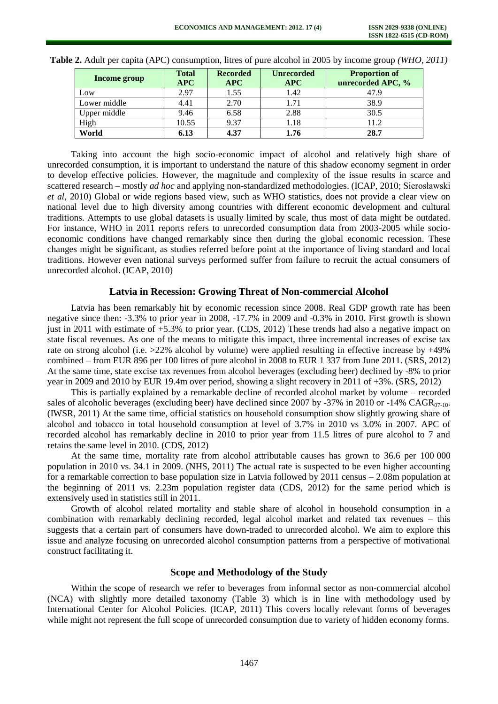| Income group | <b>Total</b><br>$\bf APC$ | <b>Recorded</b><br>APC | <b>Unrecorded</b><br>APC | <b>Proportion of</b><br>unrecorded APC, % |
|--------------|---------------------------|------------------------|--------------------------|-------------------------------------------|
| Low          | 2.97                      | 1.55                   | 1.42                     | 47.9                                      |
| Lower middle | 4.41                      | 2.70                   | 1.71                     | 38.9                                      |
| Upper middle | 9.46                      | 6.58                   | 2.88                     | 30.5                                      |
| High         | 10.55                     | 9.37                   | 1.18                     | 11.2                                      |
| World        | 6.13                      | 4.37                   | 1.76                     | 28.7                                      |

**Table 2.** Adult per capita (APC) consumption, litres of pure alcohol in 2005 by income group *(WHO, 2011)*

Taking into account the high socio-economic impact of alcohol and relatively high share of unrecorded consumption, it is important to understand the nature of this shadow economy segment in order to develop effective policies. However, the magnitude and complexity of the issue results in scarce and scattered research – mostly *ad hoc* and applying non-standardized methodologies. (ICAP, 2010; Sierosławski *et al*, 2010) Global or wide regions based view, such as WHO statistics, does not provide a clear view on national level due to high diversity among countries with different economic development and cultural traditions. Attempts to use global datasets is usually limited by scale, thus most of data might be outdated. For instance, WHO in 2011 reports refers to unrecorded consumption data from 2003-2005 while socioeconomic conditions have changed remarkably since then during the global economic recession. These changes might be significant, as studies referred before point at the importance of living standard and local traditions. However even national surveys performed suffer from failure to recruit the actual consumers of unrecorded alcohol. (ICAP, 2010)

### **Latvia in Recession: Growing Threat of Non-commercial Alcohol**

Latvia has been remarkably hit by economic recession since 2008. Real GDP growth rate has been negative since then: -3.3% to prior year in 2008, -17.7% in 2009 and -0.3% in 2010. First growth is shown just in 2011 with estimate of  $+5.3\%$  to prior year. (CDS, 2012) These trends had also a negative impact on state fiscal revenues. As one of the means to mitigate this impact, three incremental increases of excise tax rate on strong alcohol (i.e. >22% alcohol by volume) were applied resulting in effective increase by +49% combined – from EUR 896 per 100 litres of pure alcohol in 2008 to EUR 1 337 from June 2011. (SRS, 2012) At the same time, state excise tax revenues from alcohol beverages (excluding beer) declined by -8% to prior year in 2009 and 2010 by EUR 19.4m over period, showing a slight recovery in 2011 of +3%. (SRS, 2012)

This is partially explained by a remarkable decline of recorded alcohol market by volume – recorded sales of alcoholic beverages (excluding beer) have declined since 2007 by -37% in 2010 or -14% CAGR $_{07-10}$ . (IWSR, 2011) At the same time, official statistics on household consumption show slightly growing share of alcohol and tobacco in total household consumption at level of 3.7% in 2010 vs 3.0% in 2007. APC of recorded alcohol has remarkably decline in 2010 to prior year from 11.5 litres of pure alcohol to 7 and retains the same level in 2010. (CDS, 2012)

At the same time, mortality rate from alcohol attributable causes has grown to 36.6 per 100 000 population in 2010 vs. 34.1 in 2009. (NHS, 2011) The actual rate is suspected to be even higher accounting for a remarkable correction to base population size in Latvia followed by 2011 census – 2.08m population at the beginning of 2011 vs. 2.23m population register data (CDS, 2012) for the same period which is extensively used in statistics still in 2011.

Growth of alcohol related mortality and stable share of alcohol in household consumption in a combination with remarkably declining recorded, legal alcohol market and related tax revenues – this suggests that a certain part of consumers have down-traded to unrecorded alcohol. We aim to explore this issue and analyze focusing on unrecorded alcohol consumption patterns from a perspective of motivational construct facilitating it.

### **Scope and Methodology of the Study**

Within the scope of research we refer to beverages from informal sector as non-commercial alcohol (NCA) with slightly more detailed taxonomy (Table 3) which is in line with methodology used by International Center for Alcohol Policies. (ICAP, 2011) This covers locally relevant forms of beverages while might not represent the full scope of unrecorded consumption due to variety of hidden economy forms.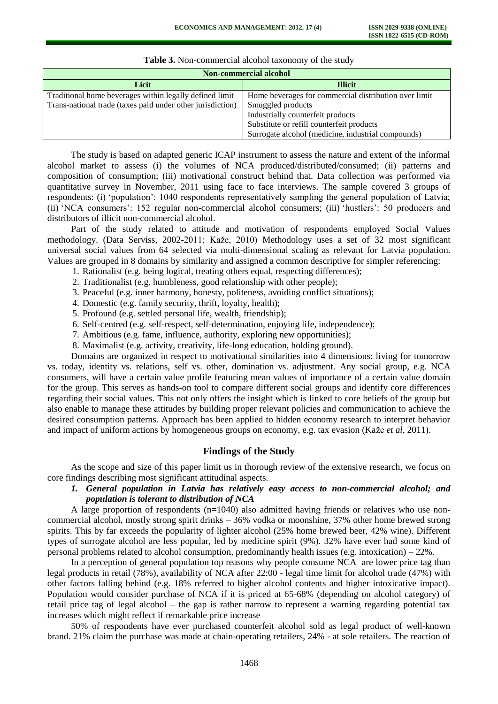| <b>Non-commercial alcohol</b>                              |                                                       |  |  |  |
|------------------------------------------------------------|-------------------------------------------------------|--|--|--|
| Licit                                                      | <b>Illicit</b>                                        |  |  |  |
| Traditional home beverages within legally defined limit    | Home beverages for commercial distribution over limit |  |  |  |
| Trans-national trade (taxes paid under other jurisdiction) | Smuggled products                                     |  |  |  |
|                                                            | Industrially counterfeit products                     |  |  |  |
|                                                            | Substitute or refill counterfeit products             |  |  |  |
|                                                            | Surrogate alcohol (medicine, industrial compounds)    |  |  |  |

**Table 3.** Non-commercial alcohol taxonomy of the study

The study is based on adapted generic ICAP instrument to assess the nature and extent of the informal alcohol market to assess (i) the volumes of NCA produced/distributed/consumed; (ii) patterns and composition of consumption; (iii) motivational construct behind that. Data collection was performed via quantitative survey in November, 2011 using face to face interviews. The sample covered 3 groups of respondents: (i) 'population': 1040 respondents representatively sampling the general population of Latvia; (ii) 'NCA consumers': 152 regular non-commercial alcohol consumers; (iii) 'hustlers': 50 producers and distributors of illicit non-commercial alcohol.

Part of the study related to attitude and motivation of respondents employed Social Values methodology. (Data Serviss, 2002-2011; Kaže, 2010) Methodology uses a set of 32 most significant universal social values from 64 selected via multi-dimensional scaling as relevant for Latvia population. Values are grouped in 8 domains by similarity and assigned a common descriptive for simpler referencing:

- 1. Rationalist (e.g. being logical, treating others equal, respecting differences);
- 2. Traditionalist (e.g. humbleness, good relationship with other people);
- 3. Peaceful (e.g. inner harmony, honesty, politeness, avoiding conflict situations);
- 4. Domestic (e.g. family security, thrift, loyalty, health);
- 5. Profound (e.g. settled personal life, wealth, friendship);
- 6. Self-centred (e.g. self-respect, self-determination, enjoying life, independence);
- 7. Ambitious (e.g. fame, influence, authority, exploring new opportunities);
- 8. Maximalist (e.g. activity, creativity, life-long education, holding ground).

Domains are organized in respect to motivational similarities into 4 dimensions: living for tomorrow vs. today, identity vs. relations, self vs. other, domination vs. adjustment. Any social group, e.g. NCA consumers, will have a certain value profile featuring mean values of importance of a certain value domain for the group. This serves as hands-on tool to compare different social groups and identify core differences regarding their social values. This not only offers the insight which is linked to core beliefs of the group but also enable to manage these attitudes by building proper relevant policies and communication to achieve the desired consumption patterns. Approach has been applied to hidden economy research to interpret behavior and impact of uniform actions by homogeneous groups on economy, e.g. tax evasion (Kaže *et al*, 2011).

### **Findings of the Study**

As the scope and size of this paper limit us in thorough review of the extensive research, we focus on core findings describing most significant attitudinal aspects.

# *1. General population in Latvia has relatively easy access to non-commercial alcohol; and population is tolerant to distribution of NCA*

A large proportion of respondents  $(n=1040)$  also admitted having friends or relatives who use noncommercial alcohol, mostly strong spirit drinks – 36% vodka or moonshine, 37% other home brewed strong spirits. This by far exceeds the popularity of lighter alcohol (25% home brewed beer, 42% wine). Different types of surrogate alcohol are less popular, led by medicine spirit (9%). 32% have ever had some kind of personal problems related to alcohol consumption, predominantly health issues (e.g. intoxication) –  $22\%$ .

In a perception of general population top reasons why people consume NCA are lower price tag than legal products in retail (78%), availability of NCA after 22:00 - legal time limit for alcohol trade (47%) with other factors falling behind (e.g. 18% referred to higher alcohol contents and higher intoxicative impact). Population would consider purchase of NCA if it is priced at 65-68% (depending on alcohol category) of retail price tag of legal alcohol – the gap is rather narrow to represent a warning regarding potential tax increases which might reflect if remarkable price increase

50% of respondents have ever purchased counterfeit alcohol sold as legal product of well-known brand. 21% claim the purchase was made at chain-operating retailers, 24% - at sole retailers. The reaction of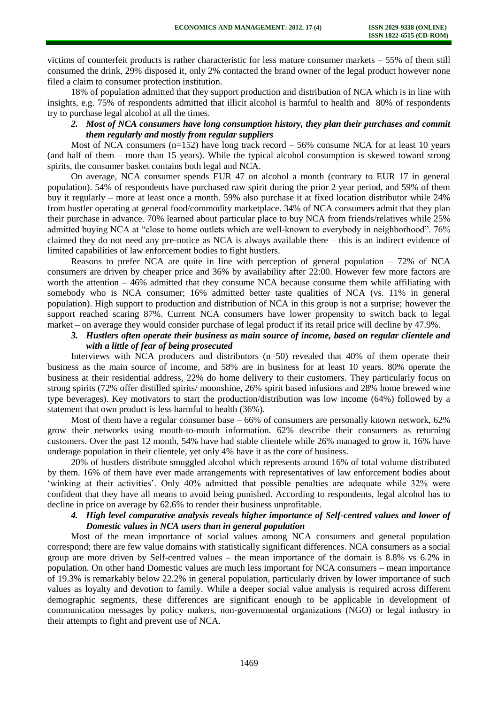victims of counterfeit products is rather characteristic for less mature consumer markets – 55% of them still consumed the drink, 29% disposed it, only 2% contacted the brand owner of the legal product however none filed a claim to consumer protection institution.

18% of population admitted that they support production and distribution of NCA which is in line with insights, e.g. 75% of respondents admitted that illicit alcohol is harmful to health and 80% of respondents try to purchase legal alcohol at all the times.

# *2. Most of NCA consumers have long consumption history, they plan their purchases and commit them regularly and mostly from regular suppliers*

Most of NCA consumers  $(n=152)$  have long track record  $-56\%$  consume NCA for at least 10 years (and half of them – more than 15 years). While the typical alcohol consumption is skewed toward strong spirits, the consumer basket contains both legal and NCA.

On average, NCA consumer spends EUR 47 on alcohol a month (contrary to EUR 17 in general population). 54% of respondents have purchased raw spirit during the prior 2 year period, and 59% of them buy it regularly – more at least once a month. 59% also purchase it at fixed location distributor while 24% from hustler operating at general food/commodity marketplace. 34% of NCA consumers admit that they plan their purchase in advance. 70% learned about particular place to buy NCA from friends/relatives while 25% admitted buying NCA at "close to home outlets which are well-known to everybody in neighborhood". 76% claimed they do not need any pre-notice as NCA is always available there – this is an indirect evidence of limited capabilities of law enforcement bodies to fight hustlers.

Reasons to prefer NCA are quite in line with perception of general population – 72% of NCA consumers are driven by cheaper price and 36% by availability after 22:00. However few more factors are worth the attention – 46% admitted that they consume NCA because consume them while affiliating with somebody who is NCA consumer: 16% admitted better taste qualities of NCA (vs. 11% in general population). High support to production and distribution of NCA in this group is not a surprise; however the support reached scaring 87%. Current NCA consumers have lower propensity to switch back to legal market – on average they would consider purchase of legal product if its retail price will decline by 47.9%.

# *3. Hustlers often operate their business as main source of income, based on regular clientele and with a little of fear of being prosecuted*

Interviews with NCA producers and distributors (n=50) revealed that 40% of them operate their business as the main source of income, and 58% are in business for at least 10 years. 80% operate the business at their residential address, 22% do home delivery to their customers. They particularly focus on strong spirits (72% offer distilled spirits/ moonshine, 26% spirit based infusions and 28% home brewed wine type beverages). Key motivators to start the production/distribution was low income (64%) followed by a statement that own product is less harmful to health (36%).

Most of them have a regular consumer base  $-66\%$  of consumers are personally known network, 62% grow their networks using mouth-to-mouth information. 62% describe their consumers as returning customers. Over the past 12 month, 54% have had stable clientele while 26% managed to grow it. 16% have underage population in their clientele, yet only 4% have it as the core of business.

20% of hustlers distribute smuggled alcohol which represents around 16% of total volume distributed by them. 16% of them have ever made arrangements with representatives of law enforcement bodies about 'winking at their activities'. Only 40% admitted that possible penalties are adequate while 32% were confident that they have all means to avoid being punished. According to respondents, legal alcohol has to decline in price on average by 62.6% to render their business unprofitable.

### *4. High level comparative analysis reveals higher importance of Self-centred values and lower of Domestic values in NCA users than in general population*

Most of the mean importance of social values among NCA consumers and general population correspond; there are few value domains with statistically significant differences. NCA consumers as a social group are more driven by Self-centred values – the mean importance of the domain is 8.8% vs 6.2% in population. On other hand Domestic values are much less important for NCA consumers – mean importance of 19.3% is remarkably below 22.2% in general population, particularly driven by lower importance of such values as loyalty and devotion to family. While a deeper social value analysis is required across different demographic segments, these differences are significant enough to be applicable in development of communication messages by policy makers, non-governmental organizations (NGO) or legal industry in their attempts to fight and prevent use of NCA.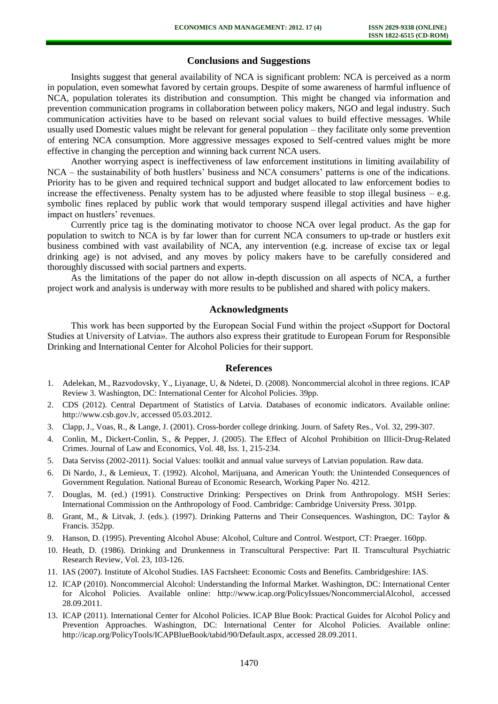# **Conclusions and Suggestions**

Insights suggest that general availability of NCA is significant problem: NCA is perceived as a norm in population, even somewhat favored by certain groups. Despite of some awareness of harmful influence of NCA, population tolerates its distribution and consumption. This might be changed via information and prevention communication programs in collaboration between policy makers, NGO and legal industry. Such communication activities have to be based on relevant social values to build effective messages. While usually used Domestic values might be relevant for general population – they facilitate only some prevention of entering NCA consumption. More aggressive messages exposed to Self-centred values might be more effective in changing the perception and winning back current NCA users.

Another worrying aspect is ineffectiveness of law enforcement institutions in limiting availability of NCA – the sustainability of both hustlers' business and NCA consumers' patterns is one of the indications. Priority has to be given and required technical support and budget allocated to law enforcement bodies to increase the effectiveness. Penalty system has to be adjusted where feasible to stop illegal business  $-$  e.g. symbolic fines replaced by public work that would temporary suspend illegal activities and have higher impact on hustlers' revenues.

Currently price tag is the dominating motivator to choose NCA over legal product. As the gap for population to switch to NCA is by far lower than for current NCA consumers to up-trade or hustlers exit business combined with vast availability of NCA, any intervention (e.g. increase of excise tax or legal drinking age) is not advised, and any moves by policy makers have to be carefully considered and thoroughly discussed with social partners and experts.

As the limitations of the paper do not allow in-depth discussion on all aspects of NCA, a further project work and analysis is underway with more results to be published and shared with policy makers.

### **Acknowledgments**

This work has been supported by the European Social Fund within the project «Support for Doctoral Studies at University of Latvia». The authors also express their gratitude to European Forum for Responsible Drinking and International Center for Alcohol Policies for their support.

#### **References**

- 1. Adelekan, M., Razvodovsky, Y., Liyanage, U, & Ndetei, D. (2008). Noncommercial alcohol in three regions. ICAP Review 3. Washington, DC: International Center for Alcohol Policies. 39pp.
- 2. CDS (2012). Central Department of Statistics of Latvia. Databases of economic indicators. Available online: http://www.csb.gov.lv, accessed 05.03.2012.
- 3. Clapp, J., Voas, R., & Lange, J. (2001). Cross-border college drinking. Journ. of Safety Res., Vol. 32, 299-307.
- 4. Conlin, M., Dickert-Conlin, S., & Pepper, J. (2005). The Effect of Alcohol Prohibition on Illicit-Drug-Related Crimes. Journal of Law and Economics, Vol. 48, Iss. 1, 215-234.
- 5. Data Serviss (2002-2011). Social Values: toolkit and annual value surveys of Latvian population. Raw data.
- 6. Di Nardo, J., & Lemieux, T. (1992). Alcohol, Marijuana, and American Youth: the Unintended Consequences of Government Regulation. National Bureau of Economic Research, Working Paper No. 4212.
- 7. Douglas, M. (ed.) (1991). Constructive Drinking: Perspectives on Drink from Anthropology. MSH Series: International Commission on the Anthropology of Food. Cambridge: Cambridge University Press. 301pp.
- 8. Grant, M., & Litvak, J. (eds.). (1997). Drinking Patterns and Their Consequences. Washington, DC: Taylor & Francis. 352pp.
- 9. Hanson, D. (1995). Preventing Alcohol Abuse: Alcohol, Culture and Control. Westport, CT: Praeger. 160pp.
- 10. Heath, D. (1986). Drinking and Drunkenness in Transcultural Perspective: Part II. Transcultural Psychiatric Research Review, Vol. 23, 103-126.
- 11. IAS (2007). Institute of Alcohol Studies. IAS Factsheet: Economic Costs and Benefits. Cambridgeshire: IAS.
- 12. ICAP (2010). Noncommercial Alcohol: Understanding the Informal Market. Washington, DC: International Center for Alcohol Policies. Available online: http://www.icap.org/PolicyIssues/NoncommercialAlcohol, accessed 28.09.2011.
- 13. ICAP (2011). International Center for Alcohol Policies. ICAP Blue Book: Practical Guides for Alcohol Policy and Prevention Approaches. Washington, DC: International Center for Alcohol Policies. Available online: http://icap.org/PolicyTools/ICAPBlueBook/tabid/90/Default.aspx, accessed 28.09.2011.